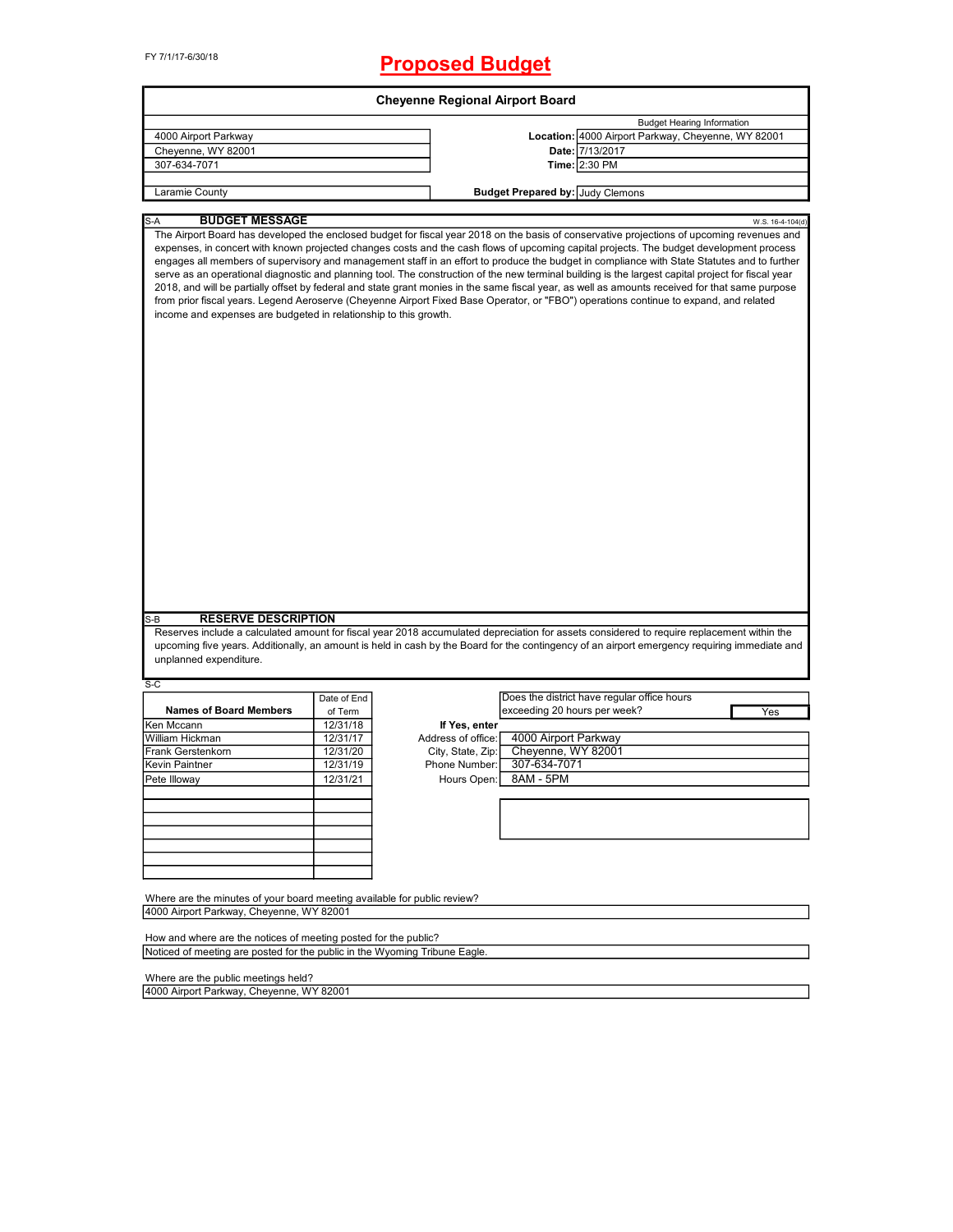|                                                                                                                      |             | <b>Cheyenne Regional Airport Board</b> |                                                                                                                                                                                                                                                                                                                                                                                                                                                                                                                                                                                                                                                                                                                                                                                                                                                                                        |                  |
|----------------------------------------------------------------------------------------------------------------------|-------------|----------------------------------------|----------------------------------------------------------------------------------------------------------------------------------------------------------------------------------------------------------------------------------------------------------------------------------------------------------------------------------------------------------------------------------------------------------------------------------------------------------------------------------------------------------------------------------------------------------------------------------------------------------------------------------------------------------------------------------------------------------------------------------------------------------------------------------------------------------------------------------------------------------------------------------------|------------------|
|                                                                                                                      |             |                                        | <b>Budget Hearing Information</b>                                                                                                                                                                                                                                                                                                                                                                                                                                                                                                                                                                                                                                                                                                                                                                                                                                                      |                  |
| 4000 Airport Parkway                                                                                                 |             |                                        | Location: 4000 Airport Parkway, Cheyenne, WY 82001                                                                                                                                                                                                                                                                                                                                                                                                                                                                                                                                                                                                                                                                                                                                                                                                                                     |                  |
| Cheyenne, WY 82001                                                                                                   |             |                                        | Date: 7/13/2017                                                                                                                                                                                                                                                                                                                                                                                                                                                                                                                                                                                                                                                                                                                                                                                                                                                                        |                  |
| 307-634-7071                                                                                                         |             |                                        | Time: 2:30 PM                                                                                                                                                                                                                                                                                                                                                                                                                                                                                                                                                                                                                                                                                                                                                                                                                                                                          |                  |
|                                                                                                                      |             |                                        |                                                                                                                                                                                                                                                                                                                                                                                                                                                                                                                                                                                                                                                                                                                                                                                                                                                                                        |                  |
| Laramie County                                                                                                       |             |                                        | <b>Budget Prepared by: Judy Clemons</b>                                                                                                                                                                                                                                                                                                                                                                                                                                                                                                                                                                                                                                                                                                                                                                                                                                                |                  |
| <b>BUDGET MESSAGE</b><br>S-A                                                                                         |             |                                        |                                                                                                                                                                                                                                                                                                                                                                                                                                                                                                                                                                                                                                                                                                                                                                                                                                                                                        | W.S. 16-4-104(d) |
| income and expenses are budgeted in relationship to this growth.                                                     |             |                                        | The Airport Board has developed the enclosed budget for fiscal year 2018 on the basis of conservative projections of upcoming revenues and<br>expenses, in concert with known projected changes costs and the cash flows of upcoming capital projects. The budget development process<br>engages all members of supervisory and management staff in an effort to produce the budget in compliance with State Statutes and to further<br>serve as an operational diagnostic and planning tool. The construction of the new terminal building is the largest capital project for fiscal year<br>2018, and will be partially offset by federal and state grant monies in the same fiscal year, as well as amounts received for that same purpose<br>from prior fiscal years. Legend Aeroserve (Cheyenne Airport Fixed Base Operator, or "FBO") operations continue to expand, and related |                  |
| <b>RESERVE DESCRIPTION</b>                                                                                           |             |                                        |                                                                                                                                                                                                                                                                                                                                                                                                                                                                                                                                                                                                                                                                                                                                                                                                                                                                                        |                  |
| $S-B$<br>unplanned expenditure.                                                                                      |             |                                        | Reserves include a calculated amount for fiscal year 2018 accumulated depreciation for assets considered to require replacement within the<br>upcoming five years. Additionally, an amount is held in cash by the Board for the contingency of an airport emergency requiring immediate and                                                                                                                                                                                                                                                                                                                                                                                                                                                                                                                                                                                            |                  |
| S-C                                                                                                                  |             |                                        |                                                                                                                                                                                                                                                                                                                                                                                                                                                                                                                                                                                                                                                                                                                                                                                                                                                                                        |                  |
|                                                                                                                      | Date of End |                                        | Does the district have regular office hours                                                                                                                                                                                                                                                                                                                                                                                                                                                                                                                                                                                                                                                                                                                                                                                                                                            |                  |
| <b>Names of Board Members</b>                                                                                        | of Term     |                                        | exceeding 20 hours per week?                                                                                                                                                                                                                                                                                                                                                                                                                                                                                                                                                                                                                                                                                                                                                                                                                                                           | Yes              |
| Ken Mccann                                                                                                           | 12/31/18    | If Yes, enter                          |                                                                                                                                                                                                                                                                                                                                                                                                                                                                                                                                                                                                                                                                                                                                                                                                                                                                                        |                  |
| <b>William Hickman</b>                                                                                               | 12/31/17    | Address of office:                     | 4000 Airport Parkway                                                                                                                                                                                                                                                                                                                                                                                                                                                                                                                                                                                                                                                                                                                                                                                                                                                                   |                  |
| <b>Frank Gerstenkorn</b>                                                                                             | 12/31/20    | City, State, Zip:                      | Cheyenne, WY 82001                                                                                                                                                                                                                                                                                                                                                                                                                                                                                                                                                                                                                                                                                                                                                                                                                                                                     |                  |
| Kevin Paintner                                                                                                       | 12/31/19    | Phone Number:                          | 307-634-7071                                                                                                                                                                                                                                                                                                                                                                                                                                                                                                                                                                                                                                                                                                                                                                                                                                                                           |                  |
| Pete Illoway                                                                                                         | 12/31/21    | Hours Open:                            | 8AM - 5PM                                                                                                                                                                                                                                                                                                                                                                                                                                                                                                                                                                                                                                                                                                                                                                                                                                                                              |                  |
|                                                                                                                      |             |                                        |                                                                                                                                                                                                                                                                                                                                                                                                                                                                                                                                                                                                                                                                                                                                                                                                                                                                                        |                  |
|                                                                                                                      |             |                                        |                                                                                                                                                                                                                                                                                                                                                                                                                                                                                                                                                                                                                                                                                                                                                                                                                                                                                        |                  |
|                                                                                                                      |             |                                        |                                                                                                                                                                                                                                                                                                                                                                                                                                                                                                                                                                                                                                                                                                                                                                                                                                                                                        |                  |
|                                                                                                                      |             |                                        |                                                                                                                                                                                                                                                                                                                                                                                                                                                                                                                                                                                                                                                                                                                                                                                                                                                                                        |                  |
|                                                                                                                      |             |                                        |                                                                                                                                                                                                                                                                                                                                                                                                                                                                                                                                                                                                                                                                                                                                                                                                                                                                                        |                  |
|                                                                                                                      |             |                                        |                                                                                                                                                                                                                                                                                                                                                                                                                                                                                                                                                                                                                                                                                                                                                                                                                                                                                        |                  |
| Where are the minutes of your board meeting available for public review?<br>4000 Airport Parkway, Cheyenne, WY 82001 |             |                                        |                                                                                                                                                                                                                                                                                                                                                                                                                                                                                                                                                                                                                                                                                                                                                                                                                                                                                        |                  |
|                                                                                                                      |             |                                        |                                                                                                                                                                                                                                                                                                                                                                                                                                                                                                                                                                                                                                                                                                                                                                                                                                                                                        |                  |
| How and where are the notices of meeting posted for the public?                                                      |             |                                        |                                                                                                                                                                                                                                                                                                                                                                                                                                                                                                                                                                                                                                                                                                                                                                                                                                                                                        |                  |
| Noticed of meeting are posted for the public in the Wyoming Tribune Eagle.                                           |             |                                        |                                                                                                                                                                                                                                                                                                                                                                                                                                                                                                                                                                                                                                                                                                                                                                                                                                                                                        |                  |

Where are the public meetings held?

4000 Airport Parkway, Cheyenne, WY 82001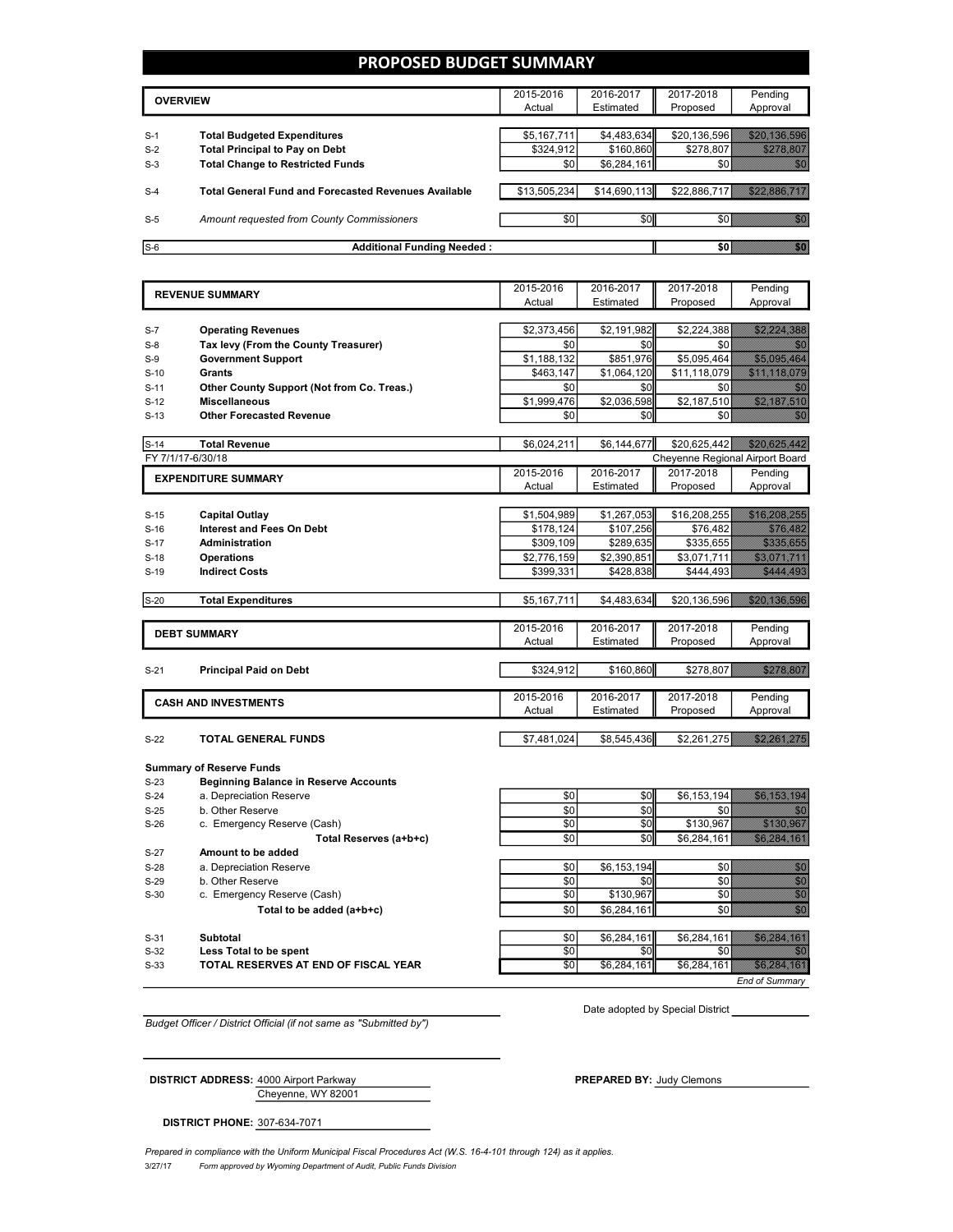## **PROPOSED BUDGET SUMMARY**

|       | <b>OVERVIEW</b>                                             | 2015-2016    | 2016-2017    | 2017-2018    | Pending  |
|-------|-------------------------------------------------------------|--------------|--------------|--------------|----------|
|       |                                                             | Actual       | Estimated    | Proposed     | Approval |
|       |                                                             |              |              |              |          |
| $S-1$ | <b>Total Budgeted Expenditures</b>                          | \$5,167,711  | \$4,483,634  | \$20,136,596 |          |
| $S-2$ | <b>Total Principal to Pay on Debt</b>                       | \$324,912    | \$160,860    | \$278,807    |          |
| $S-3$ | <b>Total Change to Restricted Funds</b>                     | \$0          | \$6,284,161  |              |          |
|       |                                                             |              |              |              |          |
| $S-4$ | <b>Total General Fund and Forecasted Revenues Available</b> | \$13,505,234 | \$14,690,113 | \$22,886,717 |          |
|       |                                                             |              |              |              |          |
| $S-5$ | Amount requested from County Commissioners                  | \$0          | \$0          | SO E         |          |
|       |                                                             |              |              |              |          |
| $S-6$ | <b>Additional Funding Needed:</b>                           |              |              |              |          |

|        |                                                   | 2015-2016       | 2016-2017   | 2017-2018                       | Pending                                                                                                                                                                                                                         |
|--------|---------------------------------------------------|-----------------|-------------|---------------------------------|---------------------------------------------------------------------------------------------------------------------------------------------------------------------------------------------------------------------------------|
|        | <b>REVENUE SUMMARY</b>                            | Actual          | Estimated   | Proposed                        | Approval                                                                                                                                                                                                                        |
|        |                                                   |                 |             |                                 |                                                                                                                                                                                                                                 |
| $S-7$  | <b>Operating Revenues</b>                         | \$2,373,456     | \$2,191,982 | \$2,224,388                     | <u>Salah Secara Secara</u>                                                                                                                                                                                                      |
| $S-8$  | Tax levy (From the County Treasurer)              | \$0             | \$0         | \$0                             | <b>MA</b>                                                                                                                                                                                                                       |
| $S-9$  | <b>Government Support</b>                         | \$1,188,132     | \$851,976   | \$5,095,464                     | <b>Santa Barat da Barat de Santa Barat de Santa B</b>                                                                                                                                                                           |
| $S-10$ | <b>Grants</b>                                     | \$463,147       | \$1,064,120 | \$11,118,079                    | <u> Samua Saraja</u>                                                                                                                                                                                                            |
| $S-11$ | <b>Other County Support (Not from Co. Treas.)</b> | \$0             | \$0         | \$0                             | , Kalendar                                                                                                                                                                                                                      |
| $S-12$ | <b>Miscellaneous</b>                              | \$1,999,476     | \$2,036,598 | \$2,187,510                     | <u>sa kalendari se</u>                                                                                                                                                                                                          |
| $S-13$ | <b>Other Forecasted Revenue</b>                   | \$0             | \$0         | \$0                             | <b>MAR</b>                                                                                                                                                                                                                      |
| $S-14$ | <b>Total Revenue</b>                              | \$6,024,211     | \$6,144,677 | \$20,625,442                    | <u>San Mariti San Barat dan Ba</u>                                                                                                                                                                                              |
|        | FY 7/1/17-6/30/18                                 |                 |             | Cheyenne Regional Airport Board |                                                                                                                                                                                                                                 |
|        | <b>EXPENDITURE SUMMARY</b>                        | 2015-2016       | 2016-2017   | 2017-2018                       | Pending                                                                                                                                                                                                                         |
|        |                                                   | Actual          | Estimated   | Proposed                        | Approval                                                                                                                                                                                                                        |
|        |                                                   |                 |             |                                 |                                                                                                                                                                                                                                 |
| $S-15$ | <b>Capital Outlay</b>                             | \$1,504,989     | \$1,267,053 | \$16,208,255                    | <u> Santa Maria Indonesia (</u>                                                                                                                                                                                                 |
| $S-16$ | <b>Interest and Fees On Debt</b>                  | \$178,124       | \$107,256   | \$76,482                        | <u> Timografia d</u>                                                                                                                                                                                                            |
| $S-17$ | <b>Administration</b>                             | \$309,109       | \$289,635   | \$335,655                       | <u> Timor ang pag</u>                                                                                                                                                                                                           |
| $S-18$ | <b>Operations</b>                                 | \$2,776,159     | \$2,390,851 | \$3,071,711                     | <u>stalian k</u>                                                                                                                                                                                                                |
| $S-19$ | <b>Indirect Costs</b>                             | \$399,331       | \$428,838   | \$444,493                       | <u>saka meng</u>                                                                                                                                                                                                                |
| $S-20$ | <b>Total Expenditures</b>                         | \$5,167,711     | \$4,483,634 | \$20,136,596                    | <u>saan kalendari k</u>                                                                                                                                                                                                         |
|        |                                                   |                 |             |                                 |                                                                                                                                                                                                                                 |
|        | <b>DEBT SUMMARY</b>                               | 2015-2016       | 2016-2017   | 2017-2018                       | Pending                                                                                                                                                                                                                         |
|        |                                                   | Actual          | Estimated   | Proposed                        | Approval                                                                                                                                                                                                                        |
| $S-21$ | <b>Principal Paid on Debt</b>                     | \$324,912       | \$160,860   | \$278,807                       | <u>e di seria di seria di seria di seria di seria di seria di seria di seria di seria di seria di seria di seria</u>                                                                                                            |
|        |                                                   |                 |             |                                 |                                                                                                                                                                                                                                 |
|        | <b>CASH AND INVESTMENTS</b>                       | 2015-2016       | 2016-2017   | 2017-2018                       | Pending                                                                                                                                                                                                                         |
|        |                                                   | Actual          | Estimated   | Proposed                        | Approval                                                                                                                                                                                                                        |
|        |                                                   |                 |             |                                 |                                                                                                                                                                                                                                 |
| $S-22$ | TOTAL GENERAL FUNDS                               | \$7,481,024     | \$8,545,436 | \$2,261,275                     | <u>Salaksi laik</u>                                                                                                                                                                                                             |
|        | <b>Summary of Reserve Funds</b>                   |                 |             |                                 |                                                                                                                                                                                                                                 |
| $S-23$ | <b>Beginning Balance in Reserve Accounts</b>      |                 |             |                                 |                                                                                                                                                                                                                                 |
| $S-24$ | a. Depreciation Reserve                           | \$0             | \$0         | \$6,153,194                     | <u>sta ka</u>                                                                                                                                                                                                                   |
| $S-25$ | b. Other Reserve                                  | $\overline{50}$ | \$0         | \$0                             | <b>SAN</b>                                                                                                                                                                                                                      |
| $S-26$ | c. Emergency Reserve (Cash)                       | \$0             | \$0         | \$130,967                       | <u> Karatiful Karatiful Sa</u>                                                                                                                                                                                                  |
|        | Total Reserves (a+b+c)                            | $\sqrt{6}$      | \$0         | \$6,284,161                     | <u> Elizabeth Ch</u>                                                                                                                                                                                                            |
| $S-27$ | Amount to be added                                |                 |             |                                 |                                                                                                                                                                                                                                 |
| $S-28$ | a. Depreciation Reserve                           | \$0             | \$6,153,194 | \$0                             | en de la familie de la familie de la familie de la familie de la familie de la familie de la familie de la fa<br>Constituit de la familie de la familie de la familie de la familie de la familie de la familie de la familie d |

- S-29 b. Other Reserve \$0 \$0 \$0 \$0  $\begin{array}{|c|c|c|c|c|c|}\n\hline\n\text{S} & \text{S} & \text{S} & \text{S} & \text{S} & \text{S} & \text{S} & \text{S} & \text{S} & \text{S} & \text{S} & \text{S} & \text{S} & \text{S} & \text{S} & \text{S} & \text{S} & \text{S} & \text{S} & \text{S} & \text{S} & \text{S} & \text{S} & \text{S} & \text{S} & \text{S} & \text{S} & \text{S} & \text{S} & \text{S} & \text{S} & \text{S} & \text{S$
- **Total to be added (a+b+c)**  $$0]$   $$6,284,161$   $$0$   $$0$

S-31 **Subtotal \$0 | \$6,284,161 \$6,284,161** S-32 **Less Total to be spent that is a spential set of the spential set of the spential set of the spential set of the spential set of the spential set of the spential set of the spential set of the spential set of the s** 

**S-33 TOTAL RESERVES AT END OF FISCAL YEAR 1989 <b>1999 50 50 56,284,161 56,284,161 \$6,284,161** 

*End of Summary*

*Budget Officer / District Official (if not same as "Submitted by")*

Cheyenne, WY 82001

Date adopted by Special District

**DISTRICT ADDRESS:** 4000 Airport Parkway **PREPARED BY: Judy Clemons** 

**DISTRICT PHONE:** 307-634-7071

3/27/17 *Form approved by Wyoming Department of Audit, Public Funds Division* Prepared in compliance with the Uniform Municipal Fiscal Procedures Act (W.S. 16-4-101 through 124) as it applies.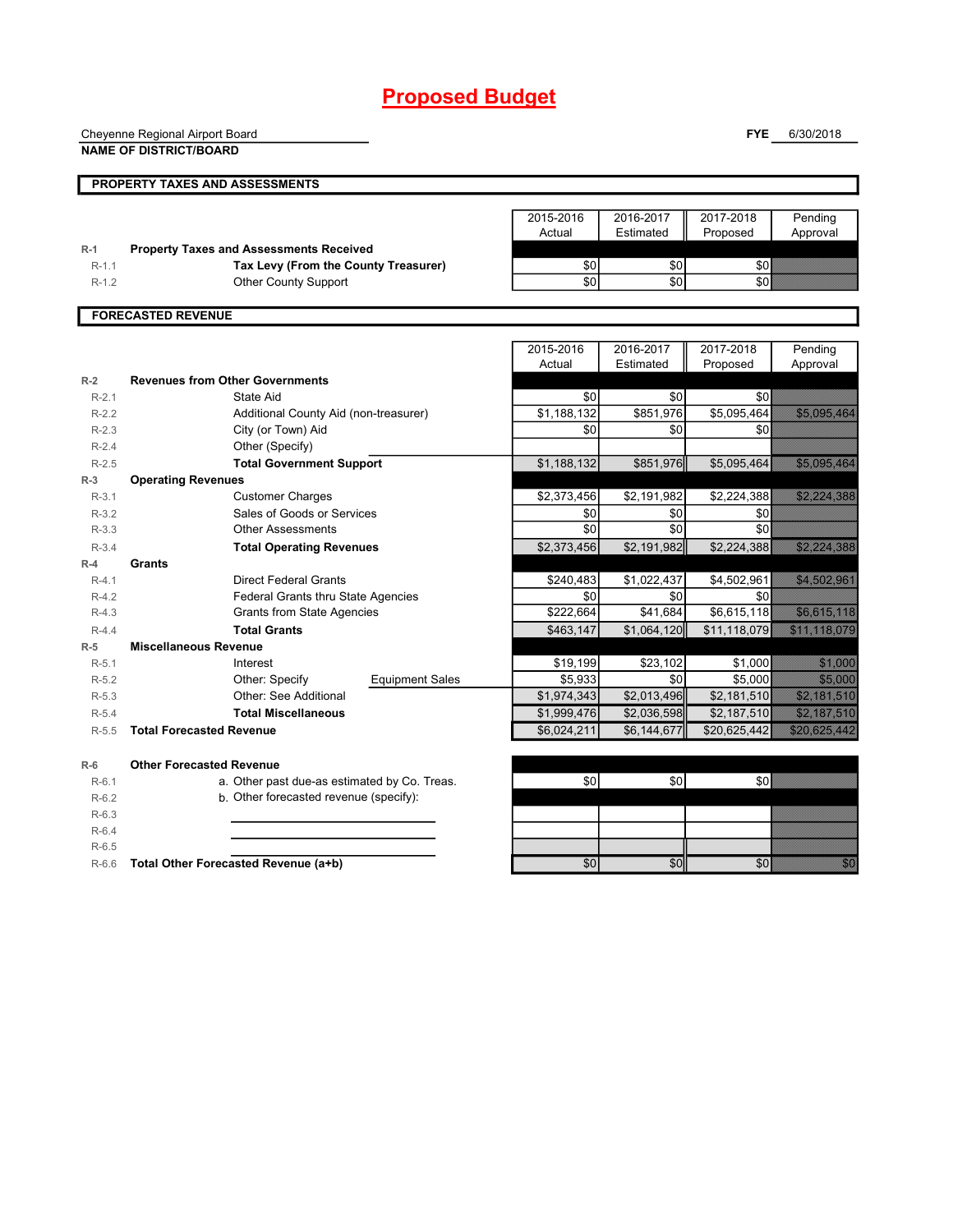|                    | Cheyenne Regional Airport Board                       |                     |                        | <b>FYE</b>            | 6/30/2018                                                                                                                                                                                                                      |
|--------------------|-------------------------------------------------------|---------------------|------------------------|-----------------------|--------------------------------------------------------------------------------------------------------------------------------------------------------------------------------------------------------------------------------|
|                    | <b>NAME OF DISTRICT/BOARD</b>                         |                     |                        |                       |                                                                                                                                                                                                                                |
|                    |                                                       |                     |                        |                       |                                                                                                                                                                                                                                |
|                    | PROPERTY TAXES AND ASSESSMENTS                        |                     |                        |                       |                                                                                                                                                                                                                                |
|                    |                                                       |                     |                        |                       |                                                                                                                                                                                                                                |
|                    |                                                       | 2015-2016<br>Actual | 2016-2017<br>Estimated | 2017-2018<br>Proposed | Pending                                                                                                                                                                                                                        |
| $R-1$              | <b>Property Taxes and Assessments Received</b>        |                     |                        |                       | Approval                                                                                                                                                                                                                       |
| $R-1.1$            | Tax Levy (From the County Treasurer)                  | \$0                 | \$0                    | \$0                   |                                                                                                                                                                                                                                |
| $R-1.2$            | <b>Other County Support</b>                           | \$0                 | 30                     | \$0                   |                                                                                                                                                                                                                                |
|                    |                                                       |                     |                        |                       |                                                                                                                                                                                                                                |
|                    | <b>FORECASTED REVENUE</b>                             |                     |                        |                       |                                                                                                                                                                                                                                |
|                    |                                                       |                     |                        |                       |                                                                                                                                                                                                                                |
|                    |                                                       | 2015-2016           | 2016-2017              | 2017-2018             | Pending                                                                                                                                                                                                                        |
|                    |                                                       | Actual              | Estimated              | Proposed              | Approval                                                                                                                                                                                                                       |
| $R-2$              | <b>Revenues from Other Governments</b>                |                     |                        |                       |                                                                                                                                                                                                                                |
| $R-2.1$            | State Aid                                             | \$0                 | \$0                    | \$0                   |                                                                                                                                                                                                                                |
| $R-2.2$            | Additional County Aid (non-treasurer)                 | \$1,188,132         | \$851,976              | \$5,095,464           | 2008 - 2009 - 2009 - 2009 - 2009 - 2009 - 2009 - 2009 - 2009 - 2009 - 2009 - 2009 - 2009 - 2009 - 2009 - 2009<br>2009 - 2009 - 2009 - 2009 - 2009 - 2009 - 2009 - 2009 - 2009 - 2009 - 2009 - 2009 - 2009 - 2009 - 2009 - 2009 |
| $R - 2.3$          | City (or Town) Aid                                    | \$0                 | 30                     | \$0                   |                                                                                                                                                                                                                                |
| $R-2.4$            | Other (Specify)                                       |                     |                        |                       |                                                                                                                                                                                                                                |
| $R-2.5$            | <b>Total Government Support</b>                       | \$1,188,132         | \$851,976              | \$5,095,464           | <u> Albanya (</u>                                                                                                                                                                                                              |
| $R-3$              | <b>Operating Revenues</b>                             |                     |                        |                       |                                                                                                                                                                                                                                |
| $R-3.1$            | <b>Customer Charges</b><br>Sales of Goods or Services | \$2,373,456         | \$2,191,982            | \$2,224,388           | <u>ta marajad</u>                                                                                                                                                                                                              |
| $R-3.2$<br>$R-3.3$ | <b>Other Assessments</b>                              | \$0<br>\$0          | \$0<br>\$0             | \$0<br>\$0            |                                                                                                                                                                                                                                |
|                    |                                                       | \$2,373,456         |                        | \$2,224,388           | <u>ta ma</u>                                                                                                                                                                                                                   |
| $R-3.4$<br>$R-4$   | <b>Total Operating Revenues</b><br><b>Grants</b>      |                     | \$2,191,982            |                       |                                                                                                                                                                                                                                |
| $R-4.1$            | <b>Direct Federal Grants</b>                          | \$240,483           | \$1,022,437            | \$4,502,961           | <u> Hallis Sillis Sill</u>                                                                                                                                                                                                     |
| $R-4.2$            | Federal Grants thru State Agencies                    | \$0                 | \$0                    | \$0                   |                                                                                                                                                                                                                                |
| $R-4.3$            | <b>Grants from State Agencies</b>                     | \$222,664           | \$41,684               | \$6,615,118           | <u> Timografiya ya kuma a shekara ta 1989 ya kasar A</u>                                                                                                                                                                       |
| $R-4.4$            | <b>Total Grants</b>                                   | \$463,147           | \$1,064,120            | \$11,118,079          | <u>Salah Barat da</u>                                                                                                                                                                                                          |
| $R-5$              | <b>Miscellaneous Revenue</b>                          |                     |                        |                       |                                                                                                                                                                                                                                |
| $R-5.1$            | Interest                                              | \$19,199            | \$23,102               | \$1,000               | <u> Maria Sant</u>                                                                                                                                                                                                             |
| $R-5.2$            | Other: Specify<br><b>Equipment Sales</b>              | \$5,933             | \$0                    | \$5,000               | <b>STANDARD</b>                                                                                                                                                                                                                |
| $R-5.3$            | <b>Other: See Additional</b>                          | \$1,974,343         | \$2,013,496            | \$2,181,510           | <u> Maria Maria I</u>                                                                                                                                                                                                          |
| $R-5.4$            | <b>Total Miscellaneous</b>                            | \$1,999,476         | \$2,036,598            | \$2,187,510           | <u> 1999 - 1999 - 1999 - 1999 - 1999 - 1999 - 1999 - 1999 - 1999 - 1999 - 1999 - 1999 - 1999 - 1999 - 1999 - 199</u>                                                                                                           |
| $R-5.5$            | <b>Total Forecasted Revenue</b>                       | \$6,024,211         | \$6,144,677            | \$20,625,442          | <u>Sashsan Ma</u>                                                                                                                                                                                                              |
| $R-6$              | <b>Other Forecasted Revenue</b>                       |                     |                        |                       |                                                                                                                                                                                                                                |
| $R-6.1$            | a. Other past due-as estimated by Co. Treas.          | \$0                 | \$0]                   | \$0                   |                                                                                                                                                                                                                                |
| $R-6.2$            | b. Other forecasted revenue (specify):                |                     |                        |                       |                                                                                                                                                                                                                                |
| $R-6.3$            |                                                       |                     |                        |                       |                                                                                                                                                                                                                                |
| $R-6.4$            |                                                       |                     |                        |                       |                                                                                                                                                                                                                                |
| $R-6.5$            |                                                       |                     |                        |                       |                                                                                                                                                                                                                                |

R-6.6 **Total Other Forecasted Revenue (a+b)** \$0 \$0 \$0 \$0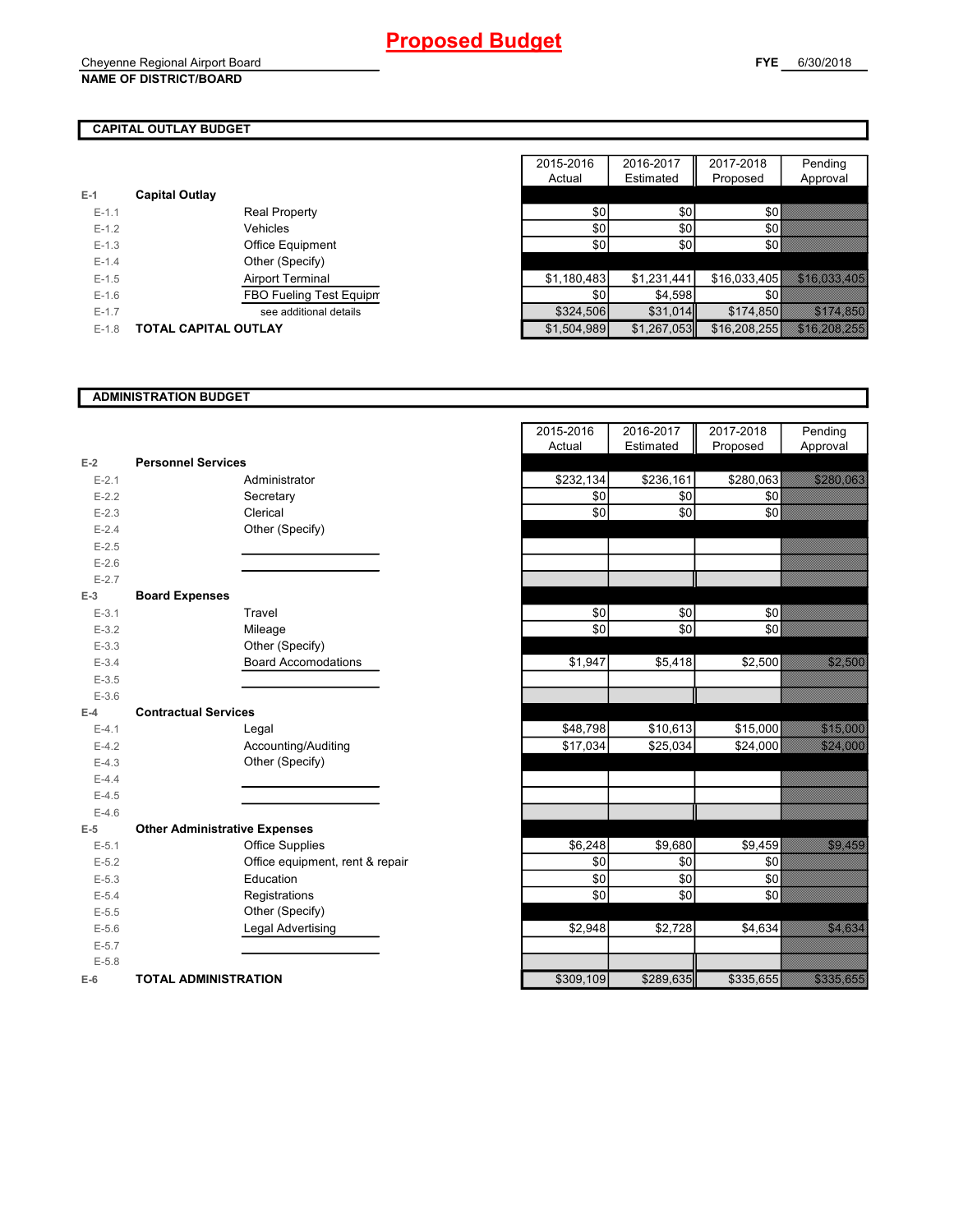### **CAPITAL OUTLAY BUDGET**

|           |                             | 100000      | ----------  | . . <i>.</i> |
|-----------|-----------------------------|-------------|-------------|--------------|
| $E-1$     | <b>Capital Outlay</b>       |             |             |              |
| $E-1.1$   | <b>Real Property</b>        | \$0         | \$0         | \$0          |
| $E-1.2$   | Vehicles                    | \$0         | \$0         | \$0          |
| $E-1.3$   | Office Equipment            | \$0         | \$0         | \$0          |
| $E - 1.4$ | Other (Specify)             |             |             |              |
| $E-1.5$   | <b>Airport Terminal</b>     | \$1,180,483 | \$1,231,441 | \$16,033,405 |
| $E - 1.6$ | FBO Fueling Test Equipm     | \$0         | \$4,598     | \$0          |
| $E-1.7$   | see additional details      | \$324.506   | \$31,014    | \$174,850    |
| $E - 1.8$ | <b>TOTAL CAPITAL OUTLAY</b> | \$1,504,989 | \$1,267,053 | \$16,208,255 |

|         |                             | 2015-2016   | 2016-2017   | 2017-2018    | Pending                  |
|---------|-----------------------------|-------------|-------------|--------------|--------------------------|
|         |                             | Actual      | Estimated   | Proposed     | Approval                 |
|         | <b>Capital Outlay</b>       |             |             |              |                          |
| $E-1.1$ | <b>Real Property</b>        | \$0         | \$0         | ا30          |                          |
| $E-1.2$ | Vehicles                    | \$0         | \$0         | <b>SO</b>    |                          |
| $E-1.3$ | Office Equipment            | \$0         | \$0         | \$0I         |                          |
| $E-1.4$ | Other (Specify)             |             |             |              |                          |
| $E-1.5$ | <b>Airport Terminal</b>     | \$1,180,483 | \$1,231,441 |              | \$16,033,405 316,033,405 |
| $E-1.6$ | FBO Fueling Test Equipm     | \$0         | \$4,598     | sol          |                          |
| $E-1.7$ | see additional details      | \$324,506   | \$31,014    | \$174,850    |                          |
| $E-1.8$ | <b>TOTAL CAPITAL OUTLAY</b> | \$1,504,989 | \$1,267,053 | \$16,208,255 |                          |

### **ADMINISTRATION BUDGET**

|           |                                      |                                 | Actual    | Estimated | Proposed  |
|-----------|--------------------------------------|---------------------------------|-----------|-----------|-----------|
| $E-2$     | <b>Personnel Services</b>            |                                 |           |           |           |
| $E - 2.1$ |                                      | Administrator                   | \$232,134 | \$236,161 | \$280,063 |
| $E-2.2$   |                                      | Secretary                       | \$0       | \$0       | \$0       |
| $E - 2.3$ |                                      | Clerical                        | \$0       | \$0       | \$0       |
| $E - 2.4$ |                                      | Other (Specify)                 |           |           |           |
| $E-2.5$   |                                      |                                 |           |           |           |
| $E-2.6$   |                                      |                                 |           |           |           |
| $E - 2.7$ |                                      |                                 |           |           |           |
| $E-3$     | <b>Board Expenses</b>                |                                 |           |           |           |
| $E-3.1$   |                                      | Travel                          | \$0       | \$0       | \$0       |
| $E-3.2$   |                                      | Mileage                         | \$0       | \$0       | \$0       |
| $E - 3.3$ |                                      | Other (Specify)                 |           |           |           |
| $E - 3.4$ |                                      | <b>Board Accomodations</b>      | \$1,947   | \$5,418   | \$2,500   |
| $E - 3.5$ |                                      |                                 |           |           |           |
| $E - 3.6$ |                                      |                                 |           |           |           |
| $E-4$     | <b>Contractual Services</b>          |                                 |           |           |           |
| $E-4.1$   |                                      | Legal                           | \$48,798  | \$10,613  | \$15,000  |
| $E-4.2$   |                                      | Accounting/Auditing             | \$17,034  | \$25,034  | \$24,000  |
| $E-4.3$   |                                      | Other (Specify)                 |           |           |           |
| $E-4.4$   |                                      |                                 |           |           |           |
| $E-4.5$   |                                      |                                 |           |           |           |
| $E-4.6$   |                                      |                                 |           |           |           |
| $E-5$     | <b>Other Administrative Expenses</b> |                                 |           |           |           |
| $E - 5.1$ |                                      | <b>Office Supplies</b>          | \$6,248   | \$9,680   | \$9,459   |
| $E - 5.2$ |                                      | Office equipment, rent & repair | \$0       | \$0       | \$0       |
| $E-5.3$   |                                      | Education                       | \$0       | \$0       | \$0       |
| $E - 5.4$ |                                      | Registrations                   | \$0       | \$0       | \$0       |
| $E-5.5$   |                                      | Other (Specify)                 |           |           |           |
| $E-5.6$   |                                      | Legal Advertising               | \$2,948   | \$2,728   | \$4,634   |
| $E - 5.7$ |                                      |                                 |           |           |           |
| $E-5.8$   |                                      |                                 |           |           |           |
| $E-6$     | <b>TOTAL ADMINISTRATION</b>          |                                 | \$309,109 | \$289,635 | \$335,655 |

|           |                                      | 2015-2016<br>Actual | 2016-2017<br>Estimated | 2017-2018<br>Proposed | Pending<br>Approval                                                                                                 |
|-----------|--------------------------------------|---------------------|------------------------|-----------------------|---------------------------------------------------------------------------------------------------------------------|
| $E-2$     | <b>Personnel Services</b>            |                     |                        |                       |                                                                                                                     |
| $E - 2.1$ | Administrator                        | \$232,134           | \$236,161              | \$280,063             | <u>SANTO COM</u>                                                                                                    |
| $E - 2.2$ | Secretary                            | \$0                 | \$0                    | \$0                   |                                                                                                                     |
| $E - 2.3$ | Clerical                             | $\frac{6}{3}$       | $\sqrt{6}$             | \$0                   |                                                                                                                     |
| $E - 2.4$ | Other (Specify)                      |                     |                        |                       |                                                                                                                     |
| $E - 2.5$ |                                      |                     |                        |                       |                                                                                                                     |
| $E-2.6$   |                                      |                     |                        |                       |                                                                                                                     |
| $E - 2.7$ |                                      |                     |                        |                       |                                                                                                                     |
| $E-3$     | <b>Board Expenses</b>                |                     |                        |                       |                                                                                                                     |
| $E-3.1$   | Travel                               | \$0                 | \$0                    | \$0                   |                                                                                                                     |
| $E-3.2$   | Mileage                              | \$0                 | \$0                    | $\frac{1}{2}$         |                                                                                                                     |
| $E - 3.3$ | Other (Specify)                      |                     |                        |                       |                                                                                                                     |
| $E - 3.4$ | <b>Board Accomodations</b>           | \$1,947             | \$5,418                | \$2,500               | <u>sa soo</u>                                                                                                       |
| $E-3.5$   |                                      |                     |                        |                       |                                                                                                                     |
| $E-3.6$   |                                      |                     |                        |                       |                                                                                                                     |
| $E-4$     | <b>Contractual Services</b>          |                     |                        |                       |                                                                                                                     |
| $E-4.1$   | Legal                                | \$48,798            | \$10,613               | \$15,000              |                                                                                                                     |
| $E-4.2$   | Accounting/Auditing                  | \$17,034            | \$25,034               | \$24,000              | <u> 1999 - 1999 - 1999 - 1999 - 1999 - 1999 - 1999 - 1999 - 1999 - 1999 - 1999 - 1999 - 1999 - 1999 - 1999 - 19</u> |
| $E-4.3$   | Other (Specify)                      |                     |                        |                       |                                                                                                                     |
| $E-4.4$   |                                      |                     |                        |                       |                                                                                                                     |
| $E-4.5$   |                                      |                     |                        |                       |                                                                                                                     |
| $E-4.6$   |                                      |                     |                        |                       |                                                                                                                     |
| $E-5$     | <b>Other Administrative Expenses</b> |                     |                        |                       |                                                                                                                     |
| $E - 5.1$ | <b>Office Supplies</b>               | \$6,248             | \$9,680                | \$9,459               | <b>Sidon Control</b>                                                                                                |
| $E - 5.2$ | Office equipment, rent & repair      | \$0                 | \$0                    | \$0                   |                                                                                                                     |
| $E - 5.3$ | Education                            | \$0                 | \$0                    | \$0                   |                                                                                                                     |
| $E-5.4$   | Registrations                        | $rac{6}{5}$         | $\sqrt{6}$             | $\overline{30}$       |                                                                                                                     |
| $E-5.5$   | Other (Specify)                      |                     |                        |                       |                                                                                                                     |
| $E-5.6$   | <b>Legal Advertising</b>             | \$2,948             | \$2,728                | \$4,634               | <b>Standard Constitution</b>                                                                                        |
| $E-5.7$   |                                      |                     |                        |                       |                                                                                                                     |
| $E-5.8$   |                                      |                     |                        |                       |                                                                                                                     |
| $E-6$     | <b>TOTAL ADMINISTRATION</b>          | \$309,109           | \$289,635              | \$335,655             | <b>San Angelon, Papa Kalèn</b>                                                                                      |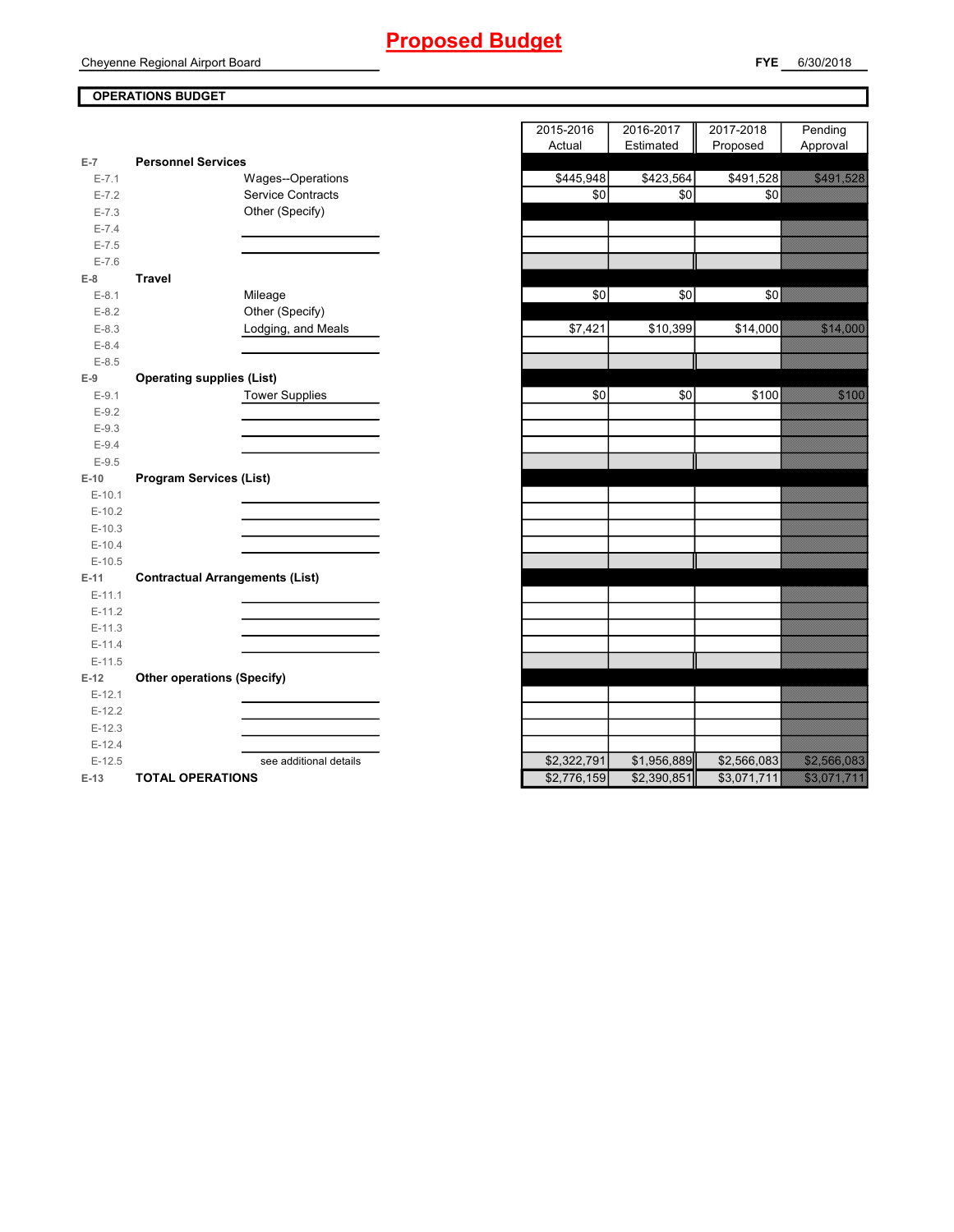### **OPERATIONS BUDGET**

| $E-7$     | <b>Personnel Services</b>              |               |                 |             |
|-----------|----------------------------------------|---------------|-----------------|-------------|
| $E - 7.1$ | Wages--Operations                      | \$445,948     | \$423,564       | \$491,528   |
| $E - 7.2$ | <b>Service Contracts</b>               | \$0           | \$0             | \$0         |
| $E - 7.3$ | Other (Specify)                        |               |                 |             |
| $E - 7.4$ |                                        |               |                 |             |
| $E - 7.5$ |                                        |               |                 |             |
| $E - 7.6$ |                                        |               |                 |             |
| $E-8$     | <b>Travel</b>                          |               |                 |             |
| $E-8.1$   | Mileage                                | $\sqrt{6}$    | $\overline{50}$ | \$0         |
| $E-8.2$   | Other (Specify)                        |               |                 |             |
| $E - 8.3$ | Lodging, and Meals                     | \$7,421       | \$10,399        | \$14,000    |
| $E-8.4$   |                                        |               |                 |             |
| $E - 8.5$ |                                        |               |                 |             |
| $E-9$     | <b>Operating supplies (List)</b>       |               |                 |             |
| $E-9.1$   | <b>Tower Supplies</b>                  | \$0           | \$0             | \$100       |
| $E-9.2$   |                                        |               |                 |             |
| $E-9.3$   |                                        |               |                 |             |
| $E-9.4$   |                                        |               |                 |             |
| $E-9.5$   |                                        |               |                 |             |
| $E-10$    | <b>Program Services (List)</b>         |               |                 |             |
| $E-10.1$  |                                        |               |                 |             |
| $E-10.2$  |                                        |               |                 |             |
| $E-10.3$  |                                        |               |                 |             |
| $E-10.4$  |                                        |               |                 |             |
| $E-10.5$  |                                        |               |                 |             |
| $E-11$    | <b>Contractual Arrangements (List)</b> |               |                 |             |
| $E-11.1$  |                                        |               |                 |             |
| $E-11.2$  |                                        |               |                 |             |
| $E-11.3$  |                                        |               |                 |             |
| $E-11.4$  |                                        |               |                 |             |
| $E-11.5$  |                                        |               |                 |             |
| $E-12$    | <b>Other operations (Specify)</b>      |               |                 |             |
| $E-12.1$  |                                        |               |                 |             |
| $E-12.2$  |                                        |               |                 |             |
| $E-12.3$  |                                        |               |                 |             |
| $E-12.4$  |                                        |               |                 |             |
| $E-12.5$  | see additional details                 | \$2,322,791   | \$1,956,889     | \$2,566,083 |
| $-40$     | TOTAL OBFBATIONS                       | $0.770$ $150$ | $0.200$ $0.5$   | 0.074744    |

|                      |                                        | 2015-2016   | 2016-2017   | 2017-2018   | Pending                                                                                                              |
|----------------------|----------------------------------------|-------------|-------------|-------------|----------------------------------------------------------------------------------------------------------------------|
|                      |                                        | Actual      | Estimated   | Proposed    | Approval                                                                                                             |
| $E-7$                | <b>Personnel Services</b>              |             |             |             |                                                                                                                      |
| $E - 7.1$            | Wages--Operations                      | \$445,948   | \$423,564   | \$491,528   | <u>startin a</u>                                                                                                     |
| $E - 7.2$            | <b>Service Contracts</b>               | \$0         | \$0         | $\sqrt{6}$  |                                                                                                                      |
| $E - 7.3$            | Other (Specify)                        |             |             |             |                                                                                                                      |
| $E - 7.4$            |                                        |             |             |             |                                                                                                                      |
| $E - 7.5$            |                                        |             |             |             |                                                                                                                      |
| $E - 7.6$            |                                        |             |             |             |                                                                                                                      |
| $E-8$                | <b>Travel</b>                          |             |             |             |                                                                                                                      |
| $E-8.1$              | Mileage                                | \$0         | \$0         | \$0         |                                                                                                                      |
| $E-8.2$              | Other (Specify)                        |             |             |             |                                                                                                                      |
| $E-8.3$              | Lodging, and Meals                     | \$7,421     | \$10,399    | \$14,000    |                                                                                                                      |
| $E - 8.4$            |                                        |             |             |             |                                                                                                                      |
| $E-8.5$              |                                        |             |             |             |                                                                                                                      |
| $E-9$                | <b>Operating supplies (List)</b>       |             |             |             |                                                                                                                      |
| $E-9.1$              | <b>Tower Supplies</b>                  | \$0         | \$0         | \$100       | <b>Santa Barat</b>                                                                                                   |
| $E-9.2$              |                                        |             |             |             |                                                                                                                      |
| $E-9.3$              |                                        |             |             |             |                                                                                                                      |
| $E-9.4$              |                                        |             |             |             |                                                                                                                      |
| $E-9.5$              |                                        |             |             |             |                                                                                                                      |
| $E-10$               | <b>Program Services (List)</b>         |             |             |             |                                                                                                                      |
| $E-10.1$             |                                        |             |             |             |                                                                                                                      |
| $E-10.2$             |                                        |             |             |             |                                                                                                                      |
| $E-10.3$             |                                        |             |             |             |                                                                                                                      |
| $E-10.4$<br>$E-10.5$ |                                        |             |             |             |                                                                                                                      |
| $E-11$               | <b>Contractual Arrangements (List)</b> |             |             |             |                                                                                                                      |
| $E-11.1$             |                                        |             |             |             |                                                                                                                      |
| $E-11.2$             |                                        |             |             |             |                                                                                                                      |
| $E-11.3$             |                                        |             |             |             |                                                                                                                      |
| $E-11.4$             |                                        |             |             |             |                                                                                                                      |
| $E-11.5$             |                                        |             |             |             |                                                                                                                      |
| $E-12$               | <b>Other operations (Specify)</b>      |             |             |             |                                                                                                                      |
| $E-12.1$             |                                        |             |             |             |                                                                                                                      |
| $E-12.2$             |                                        |             |             |             |                                                                                                                      |
| $E-12.3$             |                                        |             |             |             |                                                                                                                      |
| $E-12.4$             |                                        |             |             |             |                                                                                                                      |
| $E-12.5$             | see additional details                 | \$2,322,791 | \$1,956,889 | \$2,566,083 | <u>e a shekara ta 1999</u>                                                                                           |
| $E-13$               | <b>TOTAL OPERATIONS</b>                | \$2,776,159 | \$2,390,851 | \$3,071,711 | <u>e di seria della condizione di condizione di condizione di condizione di condizione di condizione di condizio</u> |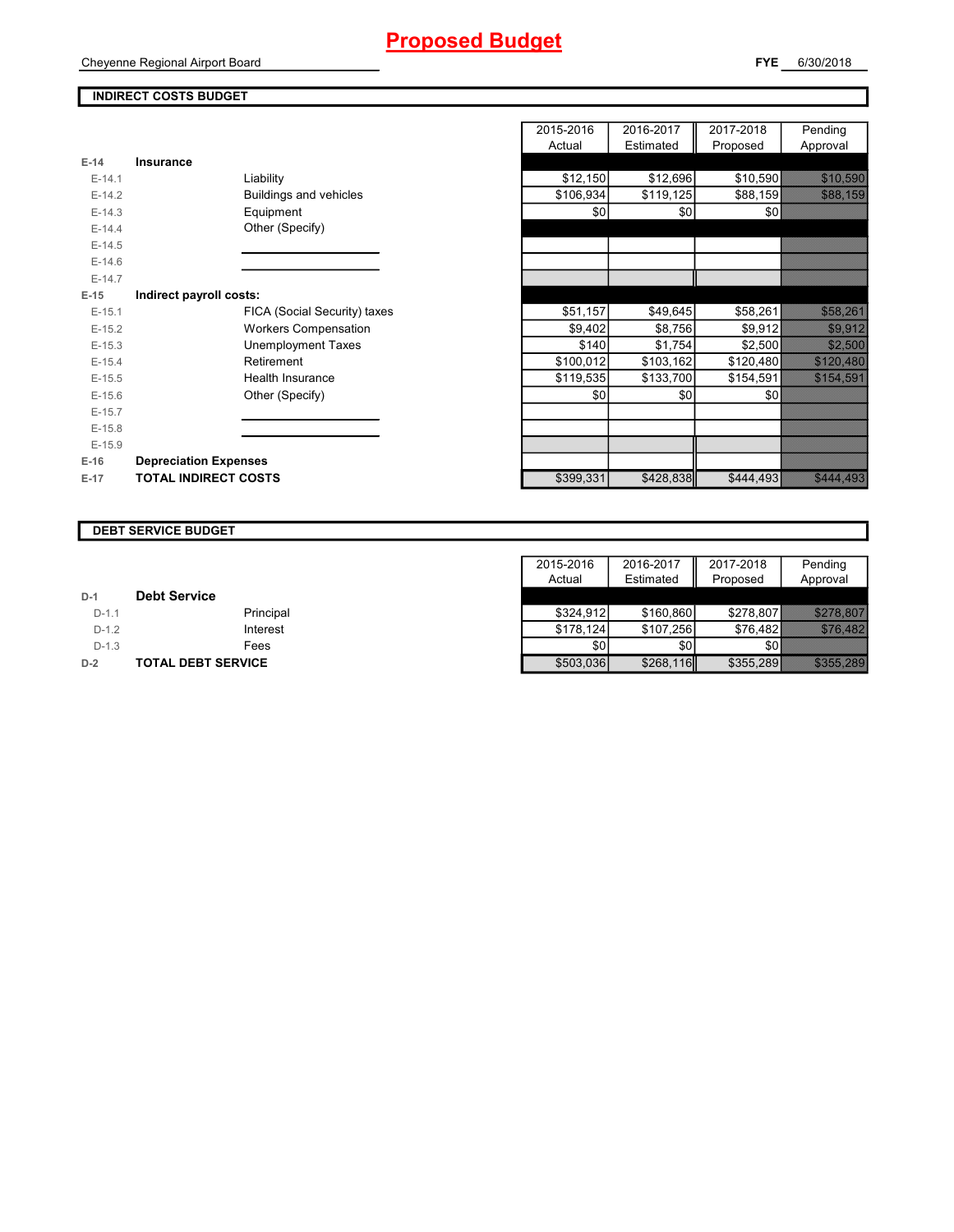### **INDIRECT COSTS BUDGET**

|          |                              | Actual    | Estimated | Proposed  |
|----------|------------------------------|-----------|-----------|-----------|
| $E-14$   | <b>Insurance</b>             |           |           |           |
| $E-14.1$ | Liability                    | \$12,150  | \$12,696  | \$10,590  |
| $E-14.2$ | Buildings and vehicles       | \$106,934 | \$119,125 | \$88,159  |
| $E-14.3$ | Equipment                    | \$0       | \$0       | \$0       |
| $E-14.4$ | Other (Specify)              |           |           |           |
| $E-14.5$ |                              |           |           |           |
| $E-14.6$ |                              |           |           |           |
| $E-14.7$ |                              |           |           |           |
| $E-15$   | Indirect payroll costs:      |           |           |           |
| $E-15.1$ | FICA (Social Security) taxes | \$51,157  | \$49,645  | \$58,261  |
| $E-15.2$ | <b>Workers Compensation</b>  | \$9,402   | \$8,756   | \$9,912   |
| $E-15.3$ | <b>Unemployment Taxes</b>    | \$140     | \$1,754   | \$2,500   |
| $E-15.4$ | Retirement                   | \$100,012 | \$103,162 | \$120,480 |
| $E-15.5$ | <b>Health Insurance</b>      | \$119,535 | \$133,700 | \$154,591 |
| $E-15.6$ | Other (Specify)              | \$0       | \$0       | \$0       |
| $E-15.7$ |                              |           |           |           |
| $E-15.8$ |                              |           |           |           |
| $E-15.9$ |                              |           |           |           |
| $E-16$   | <b>Depreciation Expenses</b> |           |           |           |
| $E-17$   | <b>TOTAL INDIRECT COSTS</b>  | \$399,331 | \$428,838 | \$444,493 |

|          |                              | 2015-2016 | 2016-2017 | 2017-2018 | Pending                   |
|----------|------------------------------|-----------|-----------|-----------|---------------------------|
|          |                              | Actual    | Estimated | Proposed  | Approval                  |
| $E-14$   | <b>Insurance</b>             |           |           |           |                           |
| $E-14.1$ | Liability                    | \$12,150  | \$12,696  | \$10,590  | <u> Maria Sant</u>        |
| $E-14.2$ | Buildings and vehicles       | \$106,934 | \$119,125 | \$88,159  | <b>Service</b>            |
| $E-14.3$ | Equipment                    | \$0       | \$0       | \$0       |                           |
| $E-14.4$ | Other (Specify)              |           |           |           |                           |
| $E-14.5$ |                              |           |           |           |                           |
| $E-14.6$ |                              |           |           |           |                           |
| $E-14.7$ |                              |           |           |           |                           |
| $E-15$   | Indirect payroll costs:      |           |           |           |                           |
| $E-15.1$ | FICA (Social Security) taxes | \$51,157  | \$49,645  | \$58,261  | <u> Timografia (</u>      |
| $E-15.2$ | <b>Workers Compensation</b>  | \$9,402   | \$8,756   | \$9,912   | <u>ti shekara ta 1999</u> |
| $E-15.3$ | <b>Unemployment Taxes</b>    | \$140     | \$1,754   | \$2,500   | 32.33                     |
| $E-15.4$ | Retirement                   | \$100,012 | \$103,162 | \$120,480 | <u>Sida Sara</u>          |
| $E-15.5$ | Health Insurance             | \$119,535 | \$133,700 | \$154,591 | <b>SANDA SA</b>           |
| $E-15.6$ | Other (Specify)              | \$0       | \$0       | \$0       |                           |
| $E-15.7$ |                              |           |           |           |                           |
| $E-15.8$ |                              |           |           |           |                           |
| $E-15.9$ |                              |           |           |           |                           |
| $E-16$   | <b>Depreciation Expenses</b> |           |           |           |                           |
| $E-17$   | <b>TOTAL INDIRECT COSTS</b>  | \$399,331 | \$428,838 | \$444,493 | <b>Maria 1989</b>         |
|          |                              |           |           |           |                           |

|         | <b>DEBT SERVICE BUDGET</b> |           |           |           |                      |
|---------|----------------------------|-----------|-----------|-----------|----------------------|
|         |                            |           |           |           |                      |
|         |                            | 2015-2016 | 2016-2017 | 2017-2018 | Pending              |
|         |                            | Actual    | Estimated | Proposed  | Approval             |
| $D-1$   | <b>Debt Service</b>        |           |           |           |                      |
| $D-1.1$ | Principal                  | \$324,912 | \$160,860 | \$278.807 | <u>Sans Si</u>       |
| $D-1.2$ | Interest                   | \$178.124 | \$107,256 | \$76,482  | <u> KASAKAN</u>      |
| $D-1.3$ | Fees                       | \$0       | \$0       |           |                      |
| $D-2$   | <b>TOTAL DEBT SERVICE</b>  | \$503,036 | \$268,116 | \$355,289 | <u>in Santang Pa</u> |